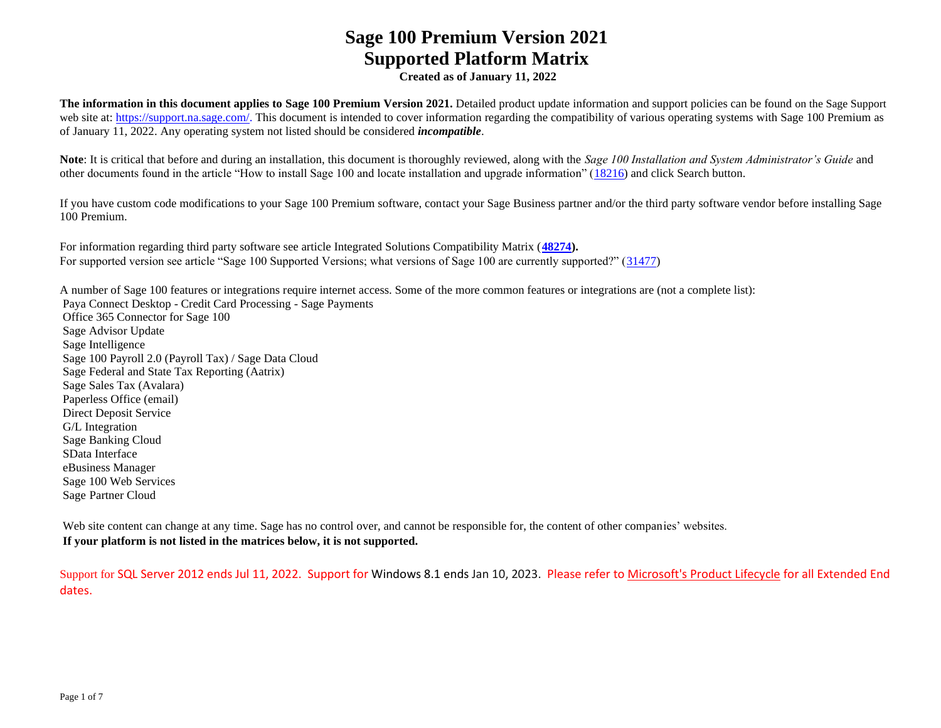**Created as of January 11, 2022**

**The information in this document applies to Sage 100 Premium Version 2021.** Detailed product update information and support policies can be found on the Sage Support web site at: [https://support.na.sage.com/.](https://support.na.sage.com/) This document is intended to cover information regarding the compatibility of various operating systems with Sage 100 Premium as of January 11, 2022. Any operating system not listed should be considered *incompatible*.

**Note**: It is critical that before and during an installation, this document is thoroughly reviewed, along with the *Sage 100 Installation and System Administrator's Guide* and other documents found in the article "How to install Sage 100 and locate installation and upgrade information" [\(18216\)](https://support.na.sage.com/selfservice/viewdocument.do?noCount=true&externalId=18216&sliceId=1&cmd=displayKC&dialogID=113151&docType=kc&noCount=true&isLoadPublishedVer=&stateId=113158&docTypeID=DT_Article&ViewedDocsListHelper=com.kanisa.apps.common.BaseViewedDocsListHelperImpl) and click Search button.

If you have custom code modifications to your Sage 100 Premium software, contact your Sage Business partner and/or the third party software vendor before installing Sage 100 Premium.

For information regarding third party software see article Integrated Solutions Compatibility Matrix (**[48274\)](https://support.na.sage.com/selfservice/viewdocument.do?noCount=true&externalId=48274&sliceId=1&dialogID=113151&cmd=displayKC&docType=kc&noCount=true&stateId=113158&isLoadPublishedVer=&docTypeID=DT_Article&ViewedDocsListHelper=com.kanisa.apps.common.BaseViewedDocsListHelperImpl).** For supported version see article "Sage 100 Supported Versions; what versions of Sage 100 are currently supported?" [\(31477\)](https://support.na.sage.com/selfservice/viewdocument.do?noCount=true&externalId=31477&sliceId=1&cmd=displayKC&dialogID=113151&docType=kc&noCount=true&isLoadPublishedVer=&stateId=113158&docTypeID=DT_Article&ViewedDocsListHelper=com.kanisa.apps.common.BaseViewedDocsListHelperImpl)

A number of Sage 100 features or integrations require internet access. Some of the more common features or integrations are (not a complete list): Paya Connect Desktop - Credit Card Processing - Sage Payments Office 365 Connector for Sage 100 Sage Advisor Update Sage Intelligence Sage 100 Payroll 2.0 (Payroll Tax) / Sage Data Cloud Sage Federal and State Tax Reporting (Aatrix) Sage Sales Tax (Avalara) Paperless Office (email) Direct Deposit Service G/L Integration Sage Banking Cloud SData Interface eBusiness Manager Sage 100 Web Services Sage Partner Cloud

Web site content can change at any time. Sage has no control over, and cannot be responsible for, the content of other companies' websites. **If your platform is not listed in the matrices below, it is not supported.**

Support for SQL Server 2012 ends Jul 11, 2022. Support for Windows 8.1 ends Jan 10, 2023. Please refer to [Microsoft's Product Lifecycle](https://docs.microsoft.com/en-us/lifecycle/) for all Extended End dates.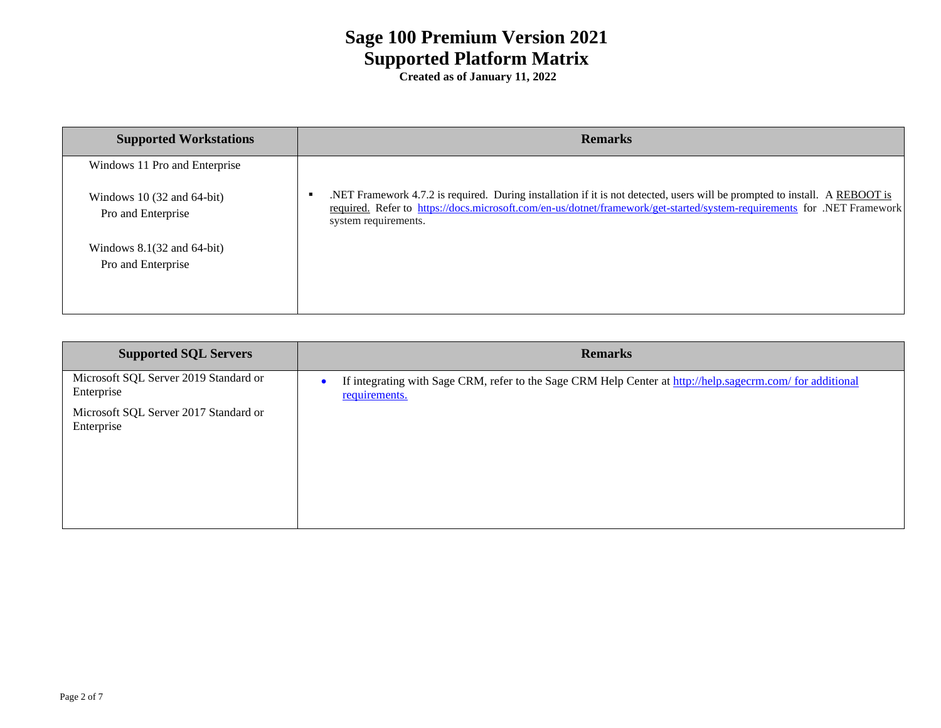| <b>Supported Workstations</b>                                | <b>Remarks</b>                                                                                                                                                                                                                                                                 |
|--------------------------------------------------------------|--------------------------------------------------------------------------------------------------------------------------------------------------------------------------------------------------------------------------------------------------------------------------------|
| Windows 11 Pro and Enterprise                                |                                                                                                                                                                                                                                                                                |
| Windows 10 $(32 \text{ and } 64$ -bit)<br>Pro and Enterprise | .NET Framework 4.7.2 is required. During installation if it is not detected, users will be prompted to install. A REBOOT is<br>required. Refer to https://docs.microsoft.com/en-us/dotnet/framework/get-started/system-requirements for .NET Framework<br>system requirements. |
| Windows $8.1(32$ and $64$ -bit)<br>Pro and Enterprise        |                                                                                                                                                                                                                                                                                |

| <b>Supported SQL Servers</b>                        | <b>Remarks</b>                                                                                                              |  |  |
|-----------------------------------------------------|-----------------------------------------------------------------------------------------------------------------------------|--|--|
| Microsoft SQL Server 2019 Standard or<br>Enterprise | If integrating with Sage CRM, refer to the Sage CRM Help Center at http://help.sagecrm.com/ for additional<br>requirements. |  |  |
| Microsoft SQL Server 2017 Standard or<br>Enterprise |                                                                                                                             |  |  |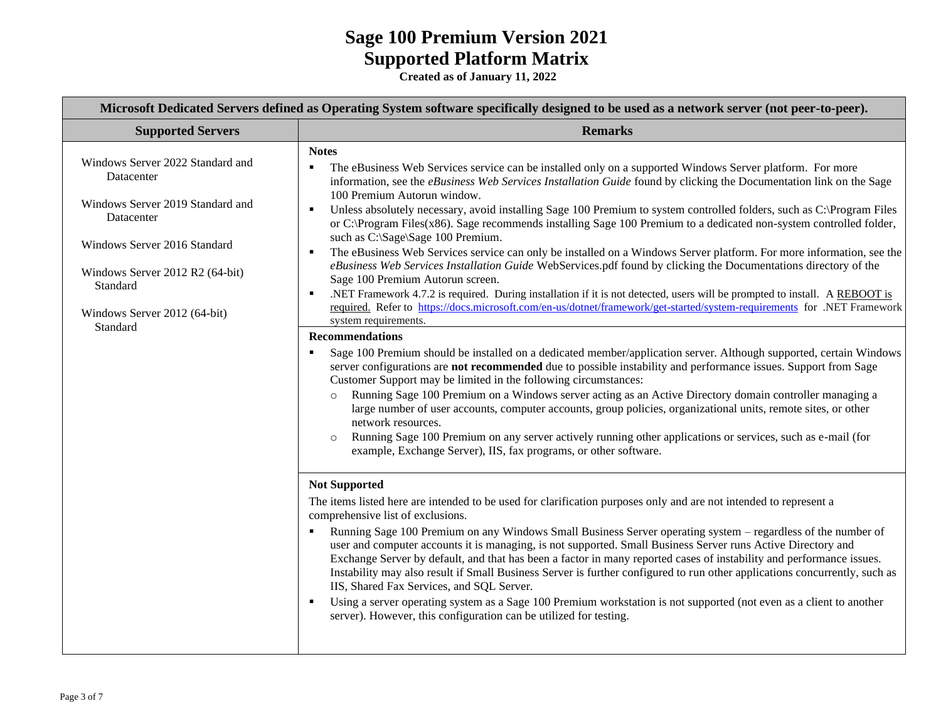| Microsoft Dedicated Servers defined as Operating System software specifically designed to be used as a network server (not peer-to-peer).                                                                                   |                                                                                                                                                                                                                                                                                                                                                                                                                                                                                                                                                                                                                                                                                                                                                                                                                                                                                                                                                                                                                                                                                                                                                                                                                                                                                                                                                                                                                                                                                                                                                                                                                                                                                                                                                                                                                                                                                                                                                                                                                                                                                                                                                                                                                                                                                                                                                                                                                                                                                                                                                                                                                                                                                                                                                                                                                                                                                                                                 |  |  |  |
|-----------------------------------------------------------------------------------------------------------------------------------------------------------------------------------------------------------------------------|---------------------------------------------------------------------------------------------------------------------------------------------------------------------------------------------------------------------------------------------------------------------------------------------------------------------------------------------------------------------------------------------------------------------------------------------------------------------------------------------------------------------------------------------------------------------------------------------------------------------------------------------------------------------------------------------------------------------------------------------------------------------------------------------------------------------------------------------------------------------------------------------------------------------------------------------------------------------------------------------------------------------------------------------------------------------------------------------------------------------------------------------------------------------------------------------------------------------------------------------------------------------------------------------------------------------------------------------------------------------------------------------------------------------------------------------------------------------------------------------------------------------------------------------------------------------------------------------------------------------------------------------------------------------------------------------------------------------------------------------------------------------------------------------------------------------------------------------------------------------------------------------------------------------------------------------------------------------------------------------------------------------------------------------------------------------------------------------------------------------------------------------------------------------------------------------------------------------------------------------------------------------------------------------------------------------------------------------------------------------------------------------------------------------------------------------------------------------------------------------------------------------------------------------------------------------------------------------------------------------------------------------------------------------------------------------------------------------------------------------------------------------------------------------------------------------------------------------------------------------------------------------------------------------------------|--|--|--|
| <b>Supported Servers</b>                                                                                                                                                                                                    | <b>Remarks</b>                                                                                                                                                                                                                                                                                                                                                                                                                                                                                                                                                                                                                                                                                                                                                                                                                                                                                                                                                                                                                                                                                                                                                                                                                                                                                                                                                                                                                                                                                                                                                                                                                                                                                                                                                                                                                                                                                                                                                                                                                                                                                                                                                                                                                                                                                                                                                                                                                                                                                                                                                                                                                                                                                                                                                                                                                                                                                                                  |  |  |  |
| Windows Server 2022 Standard and<br>Datacenter<br>Windows Server 2019 Standard and<br>Datacenter<br>Windows Server 2016 Standard<br>Windows Server 2012 R2 (64-bit)<br>Standard<br>Windows Server 2012 (64-bit)<br>Standard | <b>Notes</b><br>The eBusiness Web Services service can be installed only on a supported Windows Server platform. For more<br>information, see the eBusiness Web Services Installation Guide found by clicking the Documentation link on the Sage<br>100 Premium Autorun window.<br>Unless absolutely necessary, avoid installing Sage 100 Premium to system controlled folders, such as C:\Program Files<br>$\blacksquare$<br>or C:\Program Files(x86). Sage recommends installing Sage 100 Premium to a dedicated non-system controlled folder,<br>such as C:\Sage\Sage 100 Premium.<br>The eBusiness Web Services service can only be installed on a Windows Server platform. For more information, see the<br>$\blacksquare$<br>eBusiness Web Services Installation Guide WebServices.pdf found by clicking the Documentations directory of the<br>Sage 100 Premium Autorun screen.<br>.NET Framework 4.7.2 is required. During installation if it is not detected, users will be prompted to install. A REBOOT is<br>$\blacksquare$<br>required. Refer to https://docs.microsoft.com/en-us/dotnet/framework/get-started/system-requirements for .NET Framework<br>system requirements.<br><b>Recommendations</b><br>Sage 100 Premium should be installed on a dedicated member/application server. Although supported, certain Windows<br>server configurations are not recommended due to possible instability and performance issues. Support from Sage<br>Customer Support may be limited in the following circumstances:<br>Running Sage 100 Premium on a Windows server acting as an Active Directory domain controller managing a<br>$\circ$<br>large number of user accounts, computer accounts, group policies, organizational units, remote sites, or other<br>network resources.<br>Running Sage 100 Premium on any server actively running other applications or services, such as e-mail (for<br>$\circ$<br>example, Exchange Server), IIS, fax programs, or other software.<br><b>Not Supported</b><br>The items listed here are intended to be used for clarification purposes only and are not intended to represent a<br>comprehensive list of exclusions.<br>Running Sage 100 Premium on any Windows Small Business Server operating system – regardless of the number of<br>user and computer accounts it is managing, is not supported. Small Business Server runs Active Directory and<br>Exchange Server by default, and that has been a factor in many reported cases of instability and performance issues.<br>Instability may also result if Small Business Server is further configured to run other applications concurrently, such as<br>IIS, Shared Fax Services, and SQL Server.<br>Using a server operating system as a Sage 100 Premium workstation is not supported (not even as a client to another<br>$\blacksquare$<br>server). However, this configuration can be utilized for testing. |  |  |  |
|                                                                                                                                                                                                                             |                                                                                                                                                                                                                                                                                                                                                                                                                                                                                                                                                                                                                                                                                                                                                                                                                                                                                                                                                                                                                                                                                                                                                                                                                                                                                                                                                                                                                                                                                                                                                                                                                                                                                                                                                                                                                                                                                                                                                                                                                                                                                                                                                                                                                                                                                                                                                                                                                                                                                                                                                                                                                                                                                                                                                                                                                                                                                                                                 |  |  |  |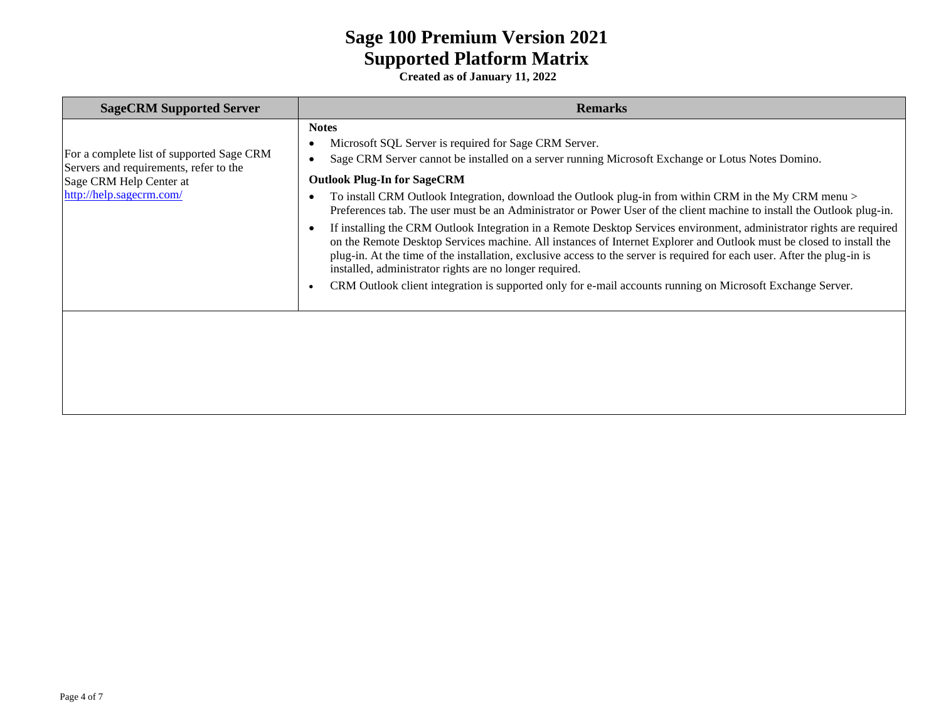| <b>SageCRM Supported Server</b>                                                                                                            | <b>Remarks</b>                                                                                                                                                                                                                                                                                                                                                                                                                                                                                                                                                                                                                                                                                                                                                                                                                                                                                                                                                                                            |  |  |  |
|--------------------------------------------------------------------------------------------------------------------------------------------|-----------------------------------------------------------------------------------------------------------------------------------------------------------------------------------------------------------------------------------------------------------------------------------------------------------------------------------------------------------------------------------------------------------------------------------------------------------------------------------------------------------------------------------------------------------------------------------------------------------------------------------------------------------------------------------------------------------------------------------------------------------------------------------------------------------------------------------------------------------------------------------------------------------------------------------------------------------------------------------------------------------|--|--|--|
| For a complete list of supported Sage CRM<br>Servers and requirements, refer to the<br>Sage CRM Help Center at<br>http://help.sagecrm.com/ | <b>Notes</b><br>Microsoft SQL Server is required for Sage CRM Server.<br>Sage CRM Server cannot be installed on a server running Microsoft Exchange or Lotus Notes Domino.<br><b>Outlook Plug-In for SageCRM</b><br>To install CRM Outlook Integration, download the Outlook plug-in from within CRM in the My CRM menu ><br>Preferences tab. The user must be an Administrator or Power User of the client machine to install the Outlook plug-in.<br>If installing the CRM Outlook Integration in a Remote Desktop Services environment, administrator rights are required<br>on the Remote Desktop Services machine. All instances of Internet Explorer and Outlook must be closed to install the<br>plug-in. At the time of the installation, exclusive access to the server is required for each user. After the plug-in is<br>installed, administrator rights are no longer required.<br>CRM Outlook client integration is supported only for e-mail accounts running on Microsoft Exchange Server. |  |  |  |
|                                                                                                                                            |                                                                                                                                                                                                                                                                                                                                                                                                                                                                                                                                                                                                                                                                                                                                                                                                                                                                                                                                                                                                           |  |  |  |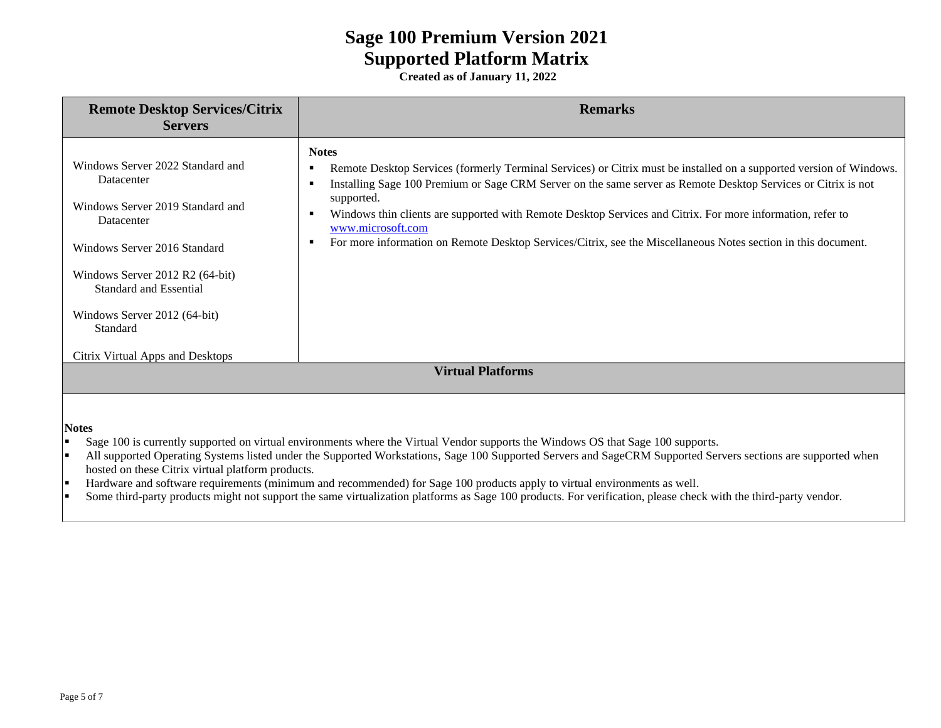| <b>Remote Desktop Services/Citrix</b><br><b>Servers</b>                                                                                                                                                                                                                       | <b>Remarks</b>                                                                                                                                                                                                                                                                                                                                                                                                                                                                                                                             |  |  |  |  |
|-------------------------------------------------------------------------------------------------------------------------------------------------------------------------------------------------------------------------------------------------------------------------------|--------------------------------------------------------------------------------------------------------------------------------------------------------------------------------------------------------------------------------------------------------------------------------------------------------------------------------------------------------------------------------------------------------------------------------------------------------------------------------------------------------------------------------------------|--|--|--|--|
| Windows Server 2022 Standard and<br>Datacenter<br>Windows Server 2019 Standard and<br>Datacenter<br>Windows Server 2016 Standard<br>Windows Server 2012 R2 (64-bit)<br>Standard and Essential<br>Windows Server 2012 (64-bit)<br>Standard<br>Citrix Virtual Apps and Desktops | <b>Notes</b><br>Remote Desktop Services (formerly Terminal Services) or Citrix must be installed on a supported version of Windows.<br>٠<br>Installing Sage 100 Premium or Sage CRM Server on the same server as Remote Desktop Services or Citrix is not<br>п<br>supported.<br>Windows thin clients are supported with Remote Desktop Services and Citrix. For more information, refer to<br>п<br>www.microsoft.com<br>For more information on Remote Desktop Services/Citrix, see the Miscellaneous Notes section in this document.<br>٠ |  |  |  |  |
| <b>Virtual Platforms</b>                                                                                                                                                                                                                                                      |                                                                                                                                                                                                                                                                                                                                                                                                                                                                                                                                            |  |  |  |  |
| <b>Notes</b><br>H<br>ı.                                                                                                                                                                                                                                                       | Sage 100 is currently supported on virtual environments where the Virtual Vendor supports the Windows OS that Sage 100 supports.<br>All supported Operating Systems listed under the Supported Workstations, Sage 100 Supported Servers and SageCRM Supported Servers sections are supported when                                                                                                                                                                                                                                          |  |  |  |  |

- hosted on these Citrix virtual platform products.
- **EXECUTE:** Hardware and software requirements (minimum and recommended) for Sage 100 products apply to virtual environments as well.
- **•** Some third-party products might not support the same virtualization platforms as Sage 100 products. For verification, please check with the third-party vendor.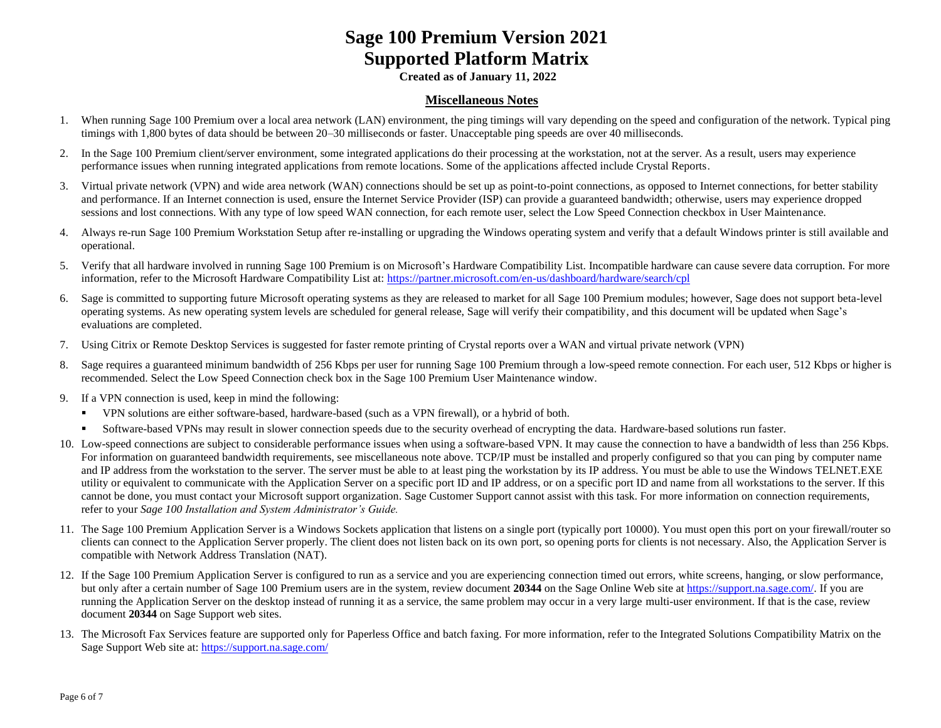**Created as of January 11, 2022**

#### **Miscellaneous Notes**

- 1. When running Sage 100 Premium over a local area network (LAN) environment, the ping timings will vary depending on the speed and configuration of the network. Typical ping timings with 1,800 bytes of data should be between 20–30 milliseconds or faster. Unacceptable ping speeds are over 40 milliseconds.
- 2. In the Sage 100 Premium client/server environment, some integrated applications do their processing at the workstation, not at the server. As a result, users may experience performance issues when running integrated applications from remote locations. Some of the applications affected include Crystal Reports.
- 3. Virtual private network (VPN) and wide area network (WAN) connections should be set up as point-to-point connections, as opposed to Internet connections, for better stability and performance. If an Internet connection is used, ensure the Internet Service Provider (ISP) can provide a guaranteed bandwidth; otherwise, users may experience dropped sessions and lost connections. With any type of low speed WAN connection, for each remote user, select the Low Speed Connection checkbox in User Maintenance.
- 4. Always re-run Sage 100 Premium Workstation Setup after re-installing or upgrading the Windows operating system and verify that a default Windows printer is still available and operational.
- 5. Verify that all hardware involved in running Sage 100 Premium is on Microsoft's Hardware Compatibility List. Incompatible hardware can cause severe data corruption. For more information, refer to the Microsoft Hardware Compatibility List at:<https://partner.microsoft.com/en-us/dashboard/hardware/search/cpl>
- 6. Sage is committed to supporting future Microsoft operating systems as they are released to market for all Sage 100 Premium modules; however, Sage does not support beta-level operating systems. As new operating system levels are scheduled for general release, Sage will verify their compatibility, and this document will be updated when Sage's evaluations are completed.
- 7. Using Citrix or Remote Desktop Services is suggested for faster remote printing of Crystal reports over a WAN and virtual private network (VPN)
- 8. Sage requires a guaranteed minimum bandwidth of 256 Kbps per user for running Sage 100 Premium through a low-speed remote connection. For each user, 512 Kbps or higher is recommended. Select the Low Speed Connection check box in the Sage 100 Premium User Maintenance window.
- 9. If a VPN connection is used, keep in mind the following:
	- VPN solutions are either software-based, hardware-based (such as a VPN firewall), or a hybrid of both.
	- **•** Software-based VPNs may result in slower connection speeds due to the security overhead of encrypting the data. Hardware-based solutions run faster.
- 10. Low-speed connections are subject to considerable performance issues when using a software-based VPN. It may cause the connection to have a bandwidth of less than 256 Kbps. For information on guaranteed bandwidth requirements, see miscellaneous note above. TCP/IP must be installed and properly configured so that you can ping by computer name and IP address from the workstation to the server. The server must be able to at least ping the workstation by its IP address. You must be able to use the Windows TELNET.EXE utility or equivalent to communicate with the Application Server on a specific port ID and IP address, or on a specific port ID and name from all workstations to the server. If this cannot be done, you must contact your Microsoft support organization. Sage Customer Support cannot assist with this task. For more information on connection requirements, refer to your *Sage 100 Installation and System Administrator's Guide.*
- 11. The Sage 100 Premium Application Server is a Windows Sockets application that listens on a single port (typically port 10000). You must open this port on your firewall/router so clients can connect to the Application Server properly. The client does not listen back on its own port, so opening ports for clients is not necessary. Also, the Application Server is compatible with Network Address Translation (NAT).
- 12. If the Sage 100 Premium Application Server is configured to run as a service and you are experiencing connection timed out errors, white screens, hanging, or slow performance, but only after a certain number of Sage 100 Premium users are in the system, review document 20344 on the Sage Online Web site at [https://support.na.sage.com/.](https://support.na.sage.com/) If you are running the Application Server on the desktop instead of running it as a service, the same problem may occur in a very large multi-user environment. If that is the case, review document **20344** on Sage Support web sites.
- 13. The Microsoft Fax Services feature are supported only for Paperless Office and batch faxing. For more information, refer to the Integrated Solutions Compatibility Matrix on the Sage Support Web site at[: https://support.na.sage.com/](https://support.na.sage.com/)